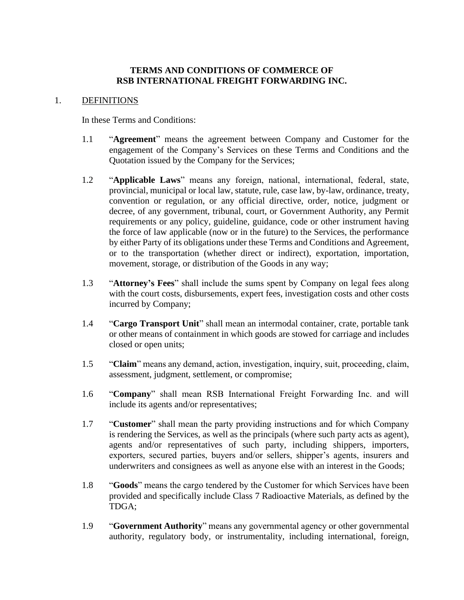#### **TERMS AND CONDITIONS OF COMMERCE OF RSB INTERNATIONAL FREIGHT FORWARDING INC.**

#### 1. DEFINITIONS

In these Terms and Conditions:

- 1.1 "**Agreement**" means the agreement between Company and Customer for the engagement of the Company's Services on these Terms and Conditions and the Quotation issued by the Company for the Services;
- 1.2 "**Applicable Laws**" means any foreign, national, international, federal, state, provincial, municipal or local law, statute, rule, case law, by-law, ordinance, treaty, convention or regulation, or any official directive, order, notice, judgment or decree, of any government, tribunal, court, or Government Authority, any Permit requirements or any policy, guideline, guidance, code or other instrument having the force of law applicable (now or in the future) to the Services, the performance by either Party of its obligations under these Terms and Conditions and Agreement, or to the transportation (whether direct or indirect), exportation, importation, movement, storage, or distribution of the Goods in any way;
- 1.3 "**Attorney's Fees**" shall include the sums spent by Company on legal fees along with the court costs, disbursements, expert fees, investigation costs and other costs incurred by Company;
- 1.4 "**Cargo Transport Unit**" shall mean an intermodal container, crate, portable tank or other means of containment in which goods are stowed for carriage and includes closed or open units;
- 1.5 "**Claim**" means any demand, action, investigation, inquiry, suit, proceeding, claim, assessment, judgment, settlement, or compromise;
- 1.6 "**Company**" shall mean RSB International Freight Forwarding Inc. and will include its agents and/or representatives;
- 1.7 "**Customer**" shall mean the party providing instructions and for which Company is rendering the Services, as well as the principals (where such party acts as agent), agents and/or representatives of such party, including shippers, importers, exporters, secured parties, buyers and/or sellers, shipper's agents, insurers and underwriters and consignees as well as anyone else with an interest in the Goods;
- 1.8 "**Goods**" means the cargo tendered by the Customer for which Services have been provided and specifically include Class 7 Radioactive Materials, as defined by the TDGA;
- 1.9 "**Government Authority**" means any governmental agency or other governmental authority, regulatory body, or instrumentality, including international, foreign,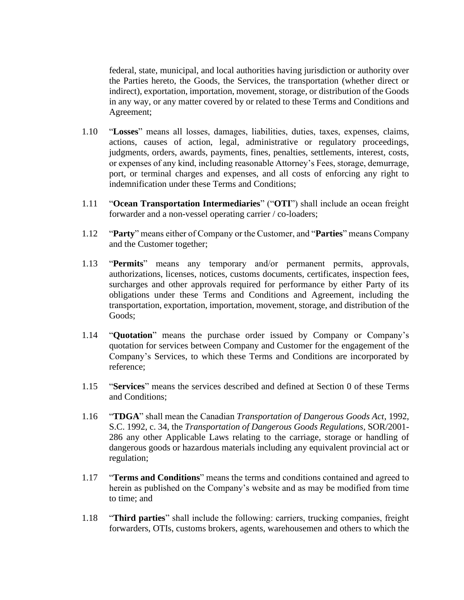federal, state, municipal, and local authorities having jurisdiction or authority over the Parties hereto, the Goods, the Services, the transportation (whether direct or indirect), exportation, importation, movement, storage, or distribution of the Goods in any way, or any matter covered by or related to these Terms and Conditions and Agreement;

- 1.10 "**Losses**" means all losses, damages, liabilities, duties, taxes, expenses, claims, actions, causes of action, legal, administrative or regulatory proceedings, judgments, orders, awards, payments, fines, penalties, settlements, interest, costs, or expenses of any kind, including reasonable Attorney's Fees, storage, demurrage, port, or terminal charges and expenses, and all costs of enforcing any right to indemnification under these Terms and Conditions;
- 1.11 "**Ocean Transportation Intermediaries**" ("**OTI**") shall include an ocean freight forwarder and a non-vessel operating carrier / co-loaders;
- 1.12 "**Party**" means either of Company or the Customer, and "**Parties**" means Company and the Customer together;
- 1.13 "**Permits**" means any temporary and/or permanent permits, approvals, authorizations, licenses, notices, customs documents, certificates, inspection fees, surcharges and other approvals required for performance by either Party of its obligations under these Terms and Conditions and Agreement, including the transportation, exportation, importation, movement, storage, and distribution of the Goods;
- 1.14 "**Quotation**" means the purchase order issued by Company or Company's quotation for services between Company and Customer for the engagement of the Company's Services, to which these Terms and Conditions are incorporated by reference;
- 1.15 "**Services**" means the services described and defined at Section [0](#page-2-0) of these Terms and Conditions;
- 1.16 "**TDGA**" shall mean the Canadian *Transportation of Dangerous Goods Act*, 1992, S.C. 1992, c. 34, the *Transportation of Dangerous Goods Regulations*, SOR/2001- 286 any other Applicable Laws relating to the carriage, storage or handling of dangerous goods or hazardous materials including any equivalent provincial act or regulation;
- 1.17 "**Terms and Conditions**" means the terms and conditions contained and agreed to herein as published on the Company's website and as may be modified from time to time; and
- 1.18 "**Third parties**" shall include the following: carriers, trucking companies, freight forwarders, OTIs, customs brokers, agents, warehousemen and others to which the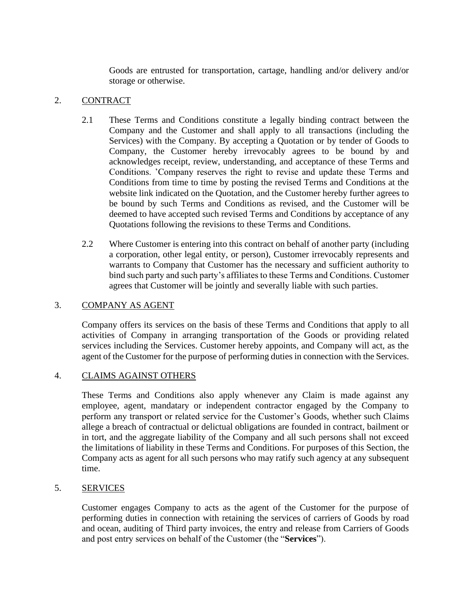Goods are entrusted for transportation, cartage, handling and/or delivery and/or storage or otherwise.

## 2. CONTRACT

- 2.1 These Terms and Conditions constitute a legally binding contract between the Company and the Customer and shall apply to all transactions (including the Services) with the Company. By accepting a Quotation or by tender of Goods to Company, the Customer hereby irrevocably agrees to be bound by and acknowledges receipt, review, understanding, and acceptance of these Terms and Conditions. 'Company reserves the right to revise and update these Terms and Conditions from time to time by posting the revised Terms and Conditions at the website link indicated on the Quotation, and the Customer hereby further agrees to be bound by such Terms and Conditions as revised, and the Customer will be deemed to have accepted such revised Terms and Conditions by acceptance of any Quotations following the revisions to these Terms and Conditions.
- 2.2 Where Customer is entering into this contract on behalf of another party (including a corporation, other legal entity, or person), Customer irrevocably represents and warrants to Company that Customer has the necessary and sufficient authority to bind such party and such party's affiliates to these Terms and Conditions. Customer agrees that Customer will be jointly and severally liable with such parties.

### <span id="page-2-1"></span>3. COMPANY AS AGENT

Company offers its services on the basis of these Terms and Conditions that apply to all activities of Company in arranging transportation of the Goods or providing related services including the Services. Customer hereby appoints, and Company will act, as the agent of the Customer for the purpose of performing duties in connection with the Services.

### 4. CLAIMS AGAINST OTHERS

These Terms and Conditions also apply whenever any Claim is made against any employee, agent, mandatary or independent contractor engaged by the Company to perform any transport or related service for the Customer's Goods, whether such Claims allege a breach of contractual or delictual obligations are founded in contract, bailment or in tort, and the aggregate liability of the Company and all such persons shall not exceed the limitations of liability in these Terms and Conditions. For purposes of this Section, the Company acts as agent for all such persons who may ratify such agency at any subsequent time.

# <span id="page-2-0"></span>5. SERVICES

Customer engages Company to acts as the agent of the Customer for the purpose of performing duties in connection with retaining the services of carriers of Goods by road and ocean, auditing of Third party invoices, the entry and release from Carriers of Goods and post entry services on behalf of the Customer (the "**Services**").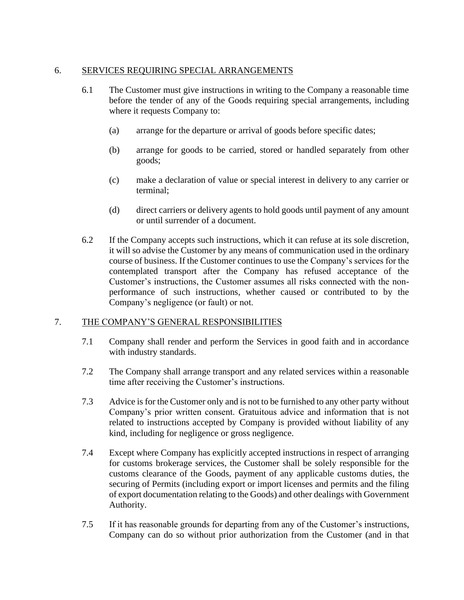## 6. SERVICES REQUIRING SPECIAL ARRANGEMENTS

- 6.1 The Customer must give instructions in writing to the Company a reasonable time before the tender of any of the Goods requiring special arrangements, including where it requests Company to:
	- (a) arrange for the departure or arrival of goods before specific dates;
	- (b) arrange for goods to be carried, stored or handled separately from other goods;
	- (c) make a declaration of value or special interest in delivery to any carrier or terminal;
	- (d) direct carriers or delivery agents to hold goods until payment of any amount or until surrender of a document.
- 6.2 If the Company accepts such instructions, which it can refuse at its sole discretion, it will so advise the Customer by any means of communication used in the ordinary course of business. If the Customer continues to use the Company's services for the contemplated transport after the Company has refused acceptance of the Customer's instructions, the Customer assumes all risks connected with the nonperformance of such instructions, whether caused or contributed to by the Company's negligence (or fault) or not.

### 7. THE COMPANY'S GENERAL RESPONSIBILITIES

- 7.1 Company shall render and perform the Services in good faith and in accordance with industry standards.
- 7.2 The Company shall arrange transport and any related services within a reasonable time after receiving the Customer's instructions.
- 7.3 Advice is for the Customer only and is not to be furnished to any other party without Company's prior written consent. Gratuitous advice and information that is not related to instructions accepted by Company is provided without liability of any kind, including for negligence or gross negligence.
- 7.4 Except where Company has explicitly accepted instructions in respect of arranging for customs brokerage services, the Customer shall be solely responsible for the customs clearance of the Goods, payment of any applicable customs duties, the securing of Permits (including export or import licenses and permits and the filing of export documentation relating to the Goods) and other dealings with Government Authority.
- 7.5 If it has reasonable grounds for departing from any of the Customer's instructions, Company can do so without prior authorization from the Customer (and in that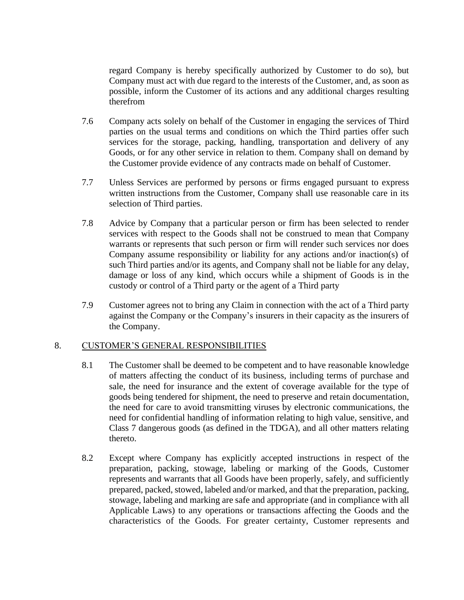regard Company is hereby specifically authorized by Customer to do so), but Company must act with due regard to the interests of the Customer, and, as soon as possible, inform the Customer of its actions and any additional charges resulting therefrom

- 7.6 Company acts solely on behalf of the Customer in engaging the services of Third parties on the usual terms and conditions on which the Third parties offer such services for the storage, packing, handling, transportation and delivery of any Goods, or for any other service in relation to them. Company shall on demand by the Customer provide evidence of any contracts made on behalf of Customer.
- 7.7 Unless Services are performed by persons or firms engaged pursuant to express written instructions from the Customer, Company shall use reasonable care in its selection of Third parties.
- 7.8 Advice by Company that a particular person or firm has been selected to render services with respect to the Goods shall not be construed to mean that Company warrants or represents that such person or firm will render such services nor does Company assume responsibility or liability for any actions and/or inaction(s) of such Third parties and/or its agents, and Company shall not be liable for any delay, damage or loss of any kind, which occurs while a shipment of Goods is in the custody or control of a Third party or the agent of a Third party
- 7.9 Customer agrees not to bring any Claim in connection with the act of a Third party against the Company or the Company's insurers in their capacity as the insurers of the Company.

### <span id="page-4-0"></span>8. CUSTOMER'S GENERAL RESPONSIBILITIES

- 8.1 The Customer shall be deemed to be competent and to have reasonable knowledge of matters affecting the conduct of its business, including terms of purchase and sale, the need for insurance and the extent of coverage available for the type of goods being tendered for shipment, the need to preserve and retain documentation, the need for care to avoid transmitting viruses by electronic communications, the need for confidential handling of information relating to high value, sensitive, and Class 7 dangerous goods (as defined in the TDGA), and all other matters relating thereto.
- 8.2 Except where Company has explicitly accepted instructions in respect of the preparation, packing, stowage, labeling or marking of the Goods, Customer represents and warrants that all Goods have been properly, safely, and sufficiently prepared, packed, stowed, labeled and/or marked, and that the preparation, packing, stowage, labeling and marking are safe and appropriate (and in compliance with all Applicable Laws) to any operations or transactions affecting the Goods and the characteristics of the Goods. For greater certainty, Customer represents and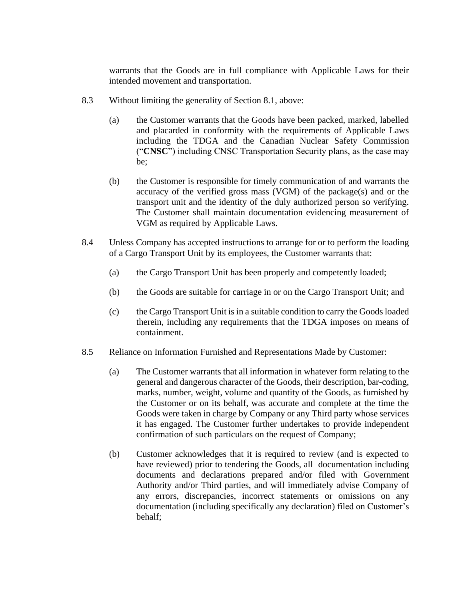warrants that the Goods are in full compliance with Applicable Laws for their intended movement and transportation.

- 8.3 Without limiting the generality of Section [8.1,](#page-4-0) above:
	- (a) the Customer warrants that the Goods have been packed, marked, labelled and placarded in conformity with the requirements of Applicable Laws including the TDGA and the Canadian Nuclear Safety Commission ("**CNSC**") including CNSC Transportation Security plans, as the case may be;
	- (b) the Customer is responsible for timely communication of and warrants the accuracy of the verified gross mass (VGM) of the package(s) and or the transport unit and the identity of the duly authorized person so verifying. The Customer shall maintain documentation evidencing measurement of VGM as required by Applicable Laws.
- 8.4 Unless Company has accepted instructions to arrange for or to perform the loading of a Cargo Transport Unit by its employees, the Customer warrants that:
	- (a) the Cargo Transport Unit has been properly and competently loaded;
	- (b) the Goods are suitable for carriage in or on the Cargo Transport Unit; and
	- (c) the Cargo Transport Unit is in a suitable condition to carry the Goods loaded therein, including any requirements that the TDGA imposes on means of containment.
- 8.5 Reliance on Information Furnished and Representations Made by Customer:
	- (a) The Customer warrants that all information in whatever form relating to the general and dangerous character of the Goods, their description, bar-coding, marks, number, weight, volume and quantity of the Goods, as furnished by the Customer or on its behalf, was accurate and complete at the time the Goods were taken in charge by Company or any Third party whose services it has engaged. The Customer further undertakes to provide independent confirmation of such particulars on the request of Company;
	- (b) Customer acknowledges that it is required to review (and is expected to have reviewed) prior to tendering the Goods, all documentation including documents and declarations prepared and/or filed with Government Authority and/or Third parties, and will immediately advise Company of any errors, discrepancies, incorrect statements or omissions on any documentation (including specifically any declaration) filed on Customer's behalf;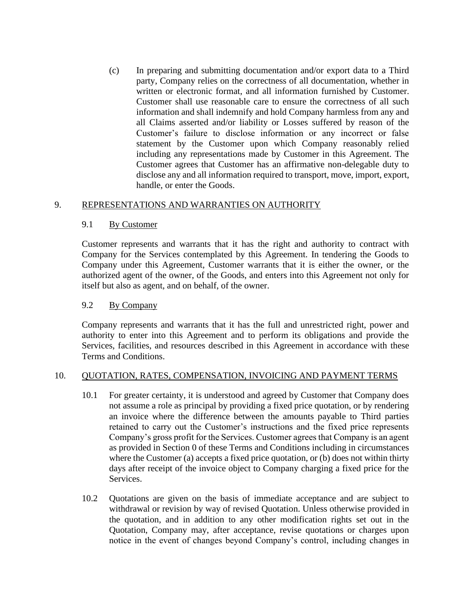(c) In preparing and submitting documentation and/or export data to a Third party, Company relies on the correctness of all documentation, whether in written or electronic format, and all information furnished by Customer. Customer shall use reasonable care to ensure the correctness of all such information and shall indemnify and hold Company harmless from any and all Claims asserted and/or liability or Losses suffered by reason of the Customer's failure to disclose information or any incorrect or false statement by the Customer upon which Company reasonably relied including any representations made by Customer in this Agreement. The Customer agrees that Customer has an affirmative non-delegable duty to disclose any and all information required to transport, move, import, export, handle, or enter the Goods.

### 9. REPRESENTATIONS AND WARRANTIES ON AUTHORITY

### 9.1 By Customer

Customer represents and warrants that it has the right and authority to contract with Company for the Services contemplated by this Agreement. In tendering the Goods to Company under this Agreement, Customer warrants that it is either the owner, or the authorized agent of the owner, of the Goods, and enters into this Agreement not only for itself but also as agent, and on behalf, of the owner.

### 9.2 By Company

Company represents and warrants that it has the full and unrestricted right, power and authority to enter into this Agreement and to perform its obligations and provide the Services, facilities, and resources described in this Agreement in accordance with these Terms and Conditions.

### 10. QUOTATION, RATES, COMPENSATION, INVOICING AND PAYMENT TERMS

- 10.1 For greater certainty, it is understood and agreed by Customer that Company does not assume a role as principal by providing a fixed price quotation, or by rendering an invoice where the difference between the amounts payable to Third parties retained to carry out the Customer's instructions and the fixed price represents Company's gross profit for the Services. Customer agrees that Company is an agent as provided in Section [0](#page-2-1) of these Terms and Conditions including in circumstances where the Customer (a) accepts a fixed price quotation, or (b) does not within thirty days after receipt of the invoice object to Company charging a fixed price for the Services.
- 10.2 Quotations are given on the basis of immediate acceptance and are subject to withdrawal or revision by way of revised Quotation. Unless otherwise provided in the quotation, and in addition to any other modification rights set out in the Quotation, Company may, after acceptance, revise quotations or charges upon notice in the event of changes beyond Company's control, including changes in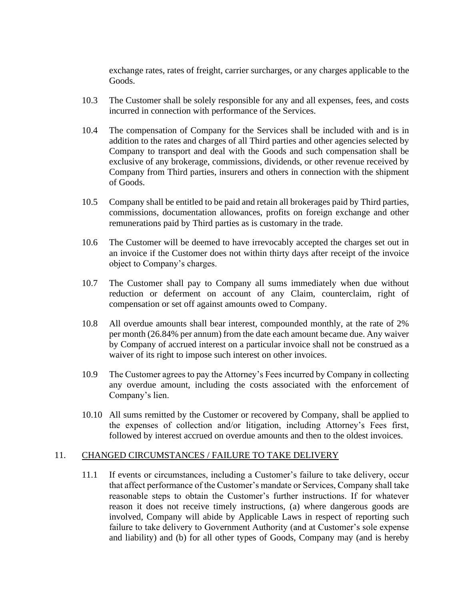exchange rates, rates of freight, carrier surcharges, or any charges applicable to the Goods.

- 10.3 The Customer shall be solely responsible for any and all expenses, fees, and costs incurred in connection with performance of the Services.
- 10.4 The compensation of Company for the Services shall be included with and is in addition to the rates and charges of all Third parties and other agencies selected by Company to transport and deal with the Goods and such compensation shall be exclusive of any brokerage, commissions, dividends, or other revenue received by Company from Third parties, insurers and others in connection with the shipment of Goods.
- 10.5 Company shall be entitled to be paid and retain all brokerages paid by Third parties, commissions, documentation allowances, profits on foreign exchange and other remunerations paid by Third parties as is customary in the trade.
- 10.6 The Customer will be deemed to have irrevocably accepted the charges set out in an invoice if the Customer does not within thirty days after receipt of the invoice object to Company's charges.
- 10.7 The Customer shall pay to Company all sums immediately when due without reduction or deferment on account of any Claim, counterclaim, right of compensation or set off against amounts owed to Company.
- 10.8 All overdue amounts shall bear interest, compounded monthly, at the rate of 2% per month (26.84% per annum) from the date each amount became due. Any waiver by Company of accrued interest on a particular invoice shall not be construed as a waiver of its right to impose such interest on other invoices.
- 10.9 The Customer agrees to pay the Attorney's Fees incurred by Company in collecting any overdue amount, including the costs associated with the enforcement of Company's lien.
- 10.10 All sums remitted by the Customer or recovered by Company, shall be applied to the expenses of collection and/or litigation, including Attorney's Fees first, followed by interest accrued on overdue amounts and then to the oldest invoices.

#### 11. CHANGED CIRCUMSTANCES / FAILURE TO TAKE DELIVERY

11.1 If events or circumstances, including a Customer's failure to take delivery, occur that affect performance of the Customer's mandate or Services, Company shall take reasonable steps to obtain the Customer's further instructions. If for whatever reason it does not receive timely instructions, (a) where dangerous goods are involved, Company will abide by Applicable Laws in respect of reporting such failure to take delivery to Government Authority (and at Customer's sole expense and liability) and (b) for all other types of Goods, Company may (and is hereby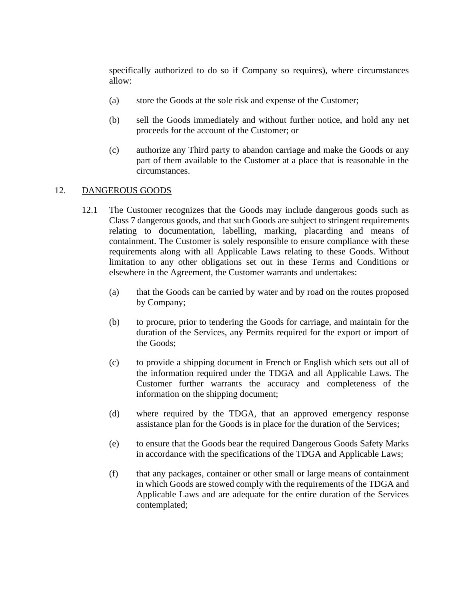specifically authorized to do so if Company so requires), where circumstances allow:

- (a) store the Goods at the sole risk and expense of the Customer;
- (b) sell the Goods immediately and without further notice, and hold any net proceeds for the account of the Customer; or
- (c) authorize any Third party to abandon carriage and make the Goods or any part of them available to the Customer at a place that is reasonable in the circumstances.

### <span id="page-8-0"></span>12. DANGEROUS GOODS

- 12.1 The Customer recognizes that the Goods may include dangerous goods such as Class 7 dangerous goods, and that such Goods are subject to stringent requirements relating to documentation, labelling, marking, placarding and means of containment. The Customer is solely responsible to ensure compliance with these requirements along with all Applicable Laws relating to these Goods. Without limitation to any other obligations set out in these Terms and Conditions or elsewhere in the Agreement, the Customer warrants and undertakes:
	- (a) that the Goods can be carried by water and by road on the routes proposed by Company;
	- (b) to procure, prior to tendering the Goods for carriage, and maintain for the duration of the Services, any Permits required for the export or import of the Goods;
	- (c) to provide a shipping document in French or English which sets out all of the information required under the TDGA and all Applicable Laws. The Customer further warrants the accuracy and completeness of the information on the shipping document;
	- (d) where required by the TDGA, that an approved emergency response assistance plan for the Goods is in place for the duration of the Services;
	- (e) to ensure that the Goods bear the required Dangerous Goods Safety Marks in accordance with the specifications of the TDGA and Applicable Laws;
	- (f) that any packages, container or other small or large means of containment in which Goods are stowed comply with the requirements of the TDGA and Applicable Laws and are adequate for the entire duration of the Services contemplated;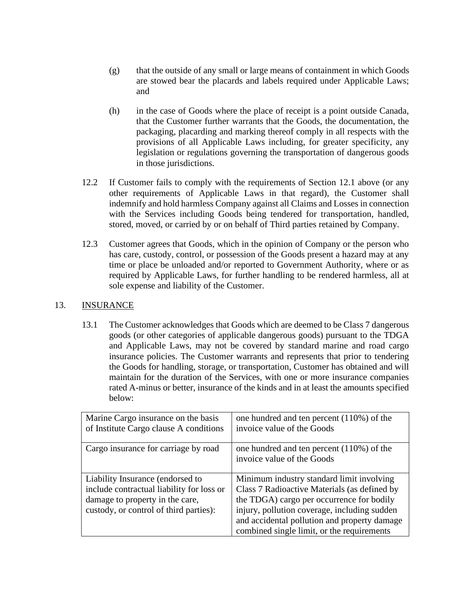- (g) that the outside of any small or large means of containment in which Goods are stowed bear the placards and labels required under Applicable Laws; and
- (h) in the case of Goods where the place of receipt is a point outside Canada, that the Customer further warrants that the Goods, the documentation, the packaging, placarding and marking thereof comply in all respects with the provisions of all Applicable Laws including, for greater specificity, any legislation or regulations governing the transportation of dangerous goods in those jurisdictions.
- 12.2 If Customer fails to comply with the requirements of Section [12.1](#page-8-0) above (or any other requirements of Applicable Laws in that regard), the Customer shall indemnify and hold harmless Company against all Claims and Losses in connection with the Services including Goods being tendered for transportation, handled, stored, moved, or carried by or on behalf of Third parties retained by Company.
- 12.3 Customer agrees that Goods, which in the opinion of Company or the person who has care, custody, control, or possession of the Goods present a hazard may at any time or place be unloaded and/or reported to Government Authority, where or as required by Applicable Laws, for further handling to be rendered harmless, all at sole expense and liability of the Customer.

## <span id="page-9-0"></span>13. INSURANCE

13.1 The Customer acknowledges that Goods which are deemed to be Class 7 dangerous goods (or other categories of applicable dangerous goods) pursuant to the TDGA and Applicable Laws, may not be covered by standard marine and road cargo insurance policies. The Customer warrants and represents that prior to tendering the Goods for handling, storage, or transportation, Customer has obtained and will maintain for the duration of the Services, with one or more insurance companies rated A-minus or better, insurance of the kinds and in at least the amounts specified below:

| Marine Cargo insurance on the basis<br>of Institute Cargo clause A conditions                                                                              | one hundred and ten percent $(110\%)$ of the<br>invoice value of the Goods                                                                                                                                                                                                           |
|------------------------------------------------------------------------------------------------------------------------------------------------------------|--------------------------------------------------------------------------------------------------------------------------------------------------------------------------------------------------------------------------------------------------------------------------------------|
| Cargo insurance for carriage by road                                                                                                                       | one hundred and ten percent $(110%)$ of the<br>invoice value of the Goods                                                                                                                                                                                                            |
| Liability Insurance (endorsed to<br>include contractual liability for loss or<br>damage to property in the care,<br>custody, or control of third parties): | Minimum industry standard limit involving<br>Class 7 Radioactive Materials (as defined by<br>the TDGA) cargo per occurrence for bodily<br>injury, pollution coverage, including sudden<br>and accidental pollution and property damage<br>combined single limit, or the requirements |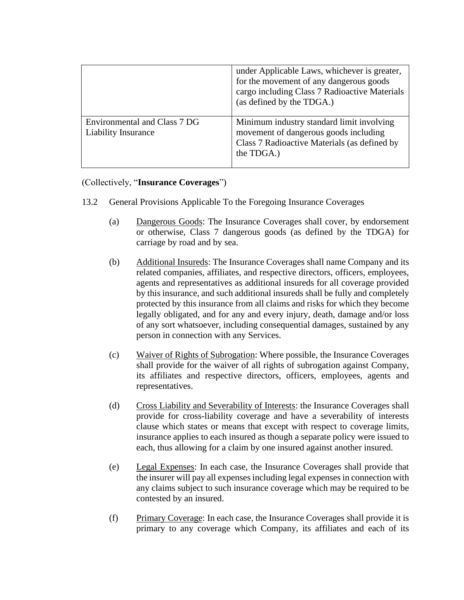|                                                            | under Applicable Laws, whichever is greater,<br>for the movement of any dangerous goods<br>cargo including Class 7 Radioactive Materials<br>(as defined by the TDGA.) |
|------------------------------------------------------------|-----------------------------------------------------------------------------------------------------------------------------------------------------------------------|
| Environmental and Class 7 DG<br><b>Liability Insurance</b> | Minimum industry standard limit involving<br>movement of dangerous goods including<br>Class 7 Radioactive Materials (as defined by<br>the TDGA.)                      |

### (Collectively, "**Insurance Coverages**")

- 13.2 General Provisions Applicable To the Foregoing Insurance Coverages
	- (a) Dangerous Goods: The Insurance Coverages shall cover, by endorsement or otherwise, Class 7 dangerous goods (as defined by the TDGA) for carriage by road and by sea.
	- (b) Additional Insureds: The Insurance Coverages shall name Company and its related companies, affiliates, and respective directors, officers, employees, agents and representatives as additional insureds for all coverage provided by this insurance, and such additional insureds shall be fully and completely protected by this insurance from all claims and risks for which they become legally obligated, and for any and every injury, death, damage and/or loss of any sort whatsoever, including consequential damages, sustained by any person in connection with any Services.
	- (c) Waiver of Rights of Subrogation: Where possible, the Insurance Coverages shall provide for the waiver of all rights of subrogation against Company, its affiliates and respective directors, officers, employees, agents and representatives.
	- (d) Cross Liability and Severability of Interests: the Insurance Coverages shall provide for cross-liability coverage and have a severability of interests clause which states or means that except with respect to coverage limits, insurance applies to each insured as though a separate policy were issued to each, thus allowing for a claim by one insured against another insured.
	- (e) Legal Expenses: In each case, the Insurance Coverages shall provide that the insurer will pay all expenses including legal expenses in connection with any claims subject to such insurance coverage which may be required to be contested by an insured.
	- (f) Primary Coverage: In each case, the Insurance Coverages shall provide it is primary to any coverage which Company, its affiliates and each of its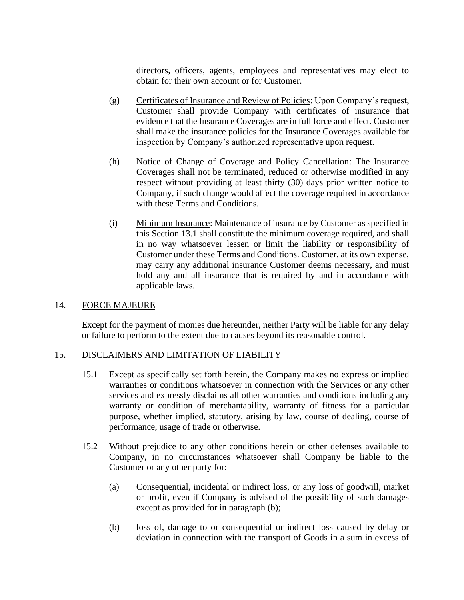directors, officers, agents, employees and representatives may elect to obtain for their own account or for Customer.

- (g) Certificates of Insurance and Review of Policies: Upon Company's request, Customer shall provide Company with certificates of insurance that evidence that the Insurance Coverages are in full force and effect. Customer shall make the insurance policies for the Insurance Coverages available for inspection by Company's authorized representative upon request.
- (h) Notice of Change of Coverage and Policy Cancellation: The Insurance Coverages shall not be terminated, reduced or otherwise modified in any respect without providing at least thirty (30) days prior written notice to Company, if such change would affect the coverage required in accordance with these Terms and Conditions.
- (i) Minimum Insurance: Maintenance of insurance by Customer as specified in this Section [13.1](#page-9-0) shall constitute the minimum coverage required, and shall in no way whatsoever lessen or limit the liability or responsibility of Customer under these Terms and Conditions. Customer, at its own expense, may carry any additional insurance Customer deems necessary, and must hold any and all insurance that is required by and in accordance with applicable laws.

### 14. FORCE MAJEURE

Except for the payment of monies due hereunder, neither Party will be liable for any delay or failure to perform to the extent due to causes beyond its reasonable control.

### <span id="page-11-1"></span>15. DISCLAIMERS AND LIMITATION OF LIABILITY

- 15.1 Except as specifically set forth herein, the Company makes no express or implied warranties or conditions whatsoever in connection with the Services or any other services and expressly disclaims all other warranties and conditions including any warranty or condition of merchantability, warranty of fitness for a particular purpose, whether implied, statutory, arising by law, course of dealing, course of performance, usage of trade or otherwise.
- <span id="page-11-0"></span>15.2 Without prejudice to any other conditions herein or other defenses available to Company, in no circumstances whatsoever shall Company be liable to the Customer or any other party for:
	- (a) Consequential, incidental or indirect loss, or any loss of goodwill, market or profit, even if Company is advised of the possibility of such damages except as provided for in paragraph [\(b\);](#page-11-0)
	- (b) loss of, damage to or consequential or indirect loss caused by delay or deviation in connection with the transport of Goods in a sum in excess of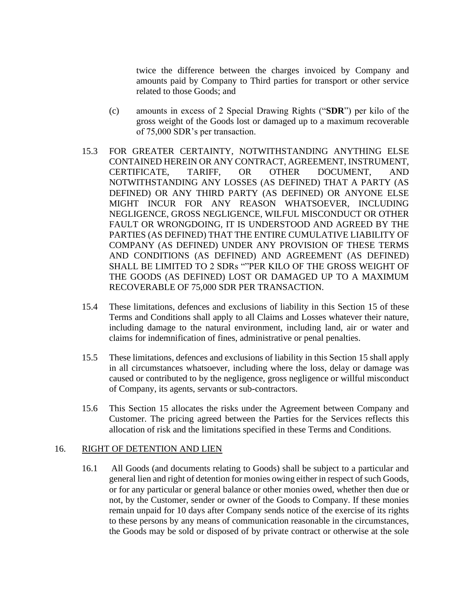twice the difference between the charges invoiced by Company and amounts paid by Company to Third parties for transport or other service related to those Goods; and

- (c) amounts in excess of 2 Special Drawing Rights ("**SDR**") per kilo of the gross weight of the Goods lost or damaged up to a maximum recoverable of 75,000 SDR's per transaction.
- 15.3 FOR GREATER CERTAINTY, NOTWITHSTANDING ANYTHING ELSE CONTAINED HEREIN OR ANY CONTRACT, AGREEMENT, INSTRUMENT, CERTIFICATE, TARIFF, OR OTHER DOCUMENT, AND NOTWITHSTANDING ANY LOSSES (AS DEFINED) THAT A PARTY (AS DEFINED) OR ANY THIRD PARTY (AS DEFINED) OR ANYONE ELSE MIGHT INCUR FOR ANY REASON WHATSOEVER, INCLUDING NEGLIGENCE, GROSS NEGLIGENCE, WILFUL MISCONDUCT OR OTHER FAULT OR WRONGDOING, IT IS UNDERSTOOD AND AGREED BY THE PARTIES (AS DEFINED) THAT THE ENTIRE CUMULATIVE LIABILITY OF COMPANY (AS DEFINED) UNDER ANY PROVISION OF THESE TERMS AND CONDITIONS (AS DEFINED) AND AGREEMENT (AS DEFINED) SHALL BE LIMITED TO 2 SDRs ""PER KILO OF THE GROSS WEIGHT OF THE GOODS (AS DEFINED) LOST OR DAMAGED UP TO A MAXIMUM RECOVERABLE OF 75,000 SDR PER TRANSACTION.
- 15.4 These limitations, defences and exclusions of liability in this Section [15](#page-11-1) of these Terms and Conditions shall apply to all Claims and Losses whatever their nature, including damage to the natural environment, including land, air or water and claims for indemnification of fines, administrative or penal penalties.
- 15.5 These limitations, defences and exclusions of liability in this Section [15](#page-11-1) shall apply in all circumstances whatsoever, including where the loss, delay or damage was caused or contributed to by the negligence, gross negligence or willful misconduct of Company, its agents, servants or sub-contractors.
- 15.6 This Section [15](#page-11-1) allocates the risks under the Agreement between Company and Customer. The pricing agreed between the Parties for the Services reflects this allocation of risk and the limitations specified in these Terms and Conditions.

#### 16. RIGHT OF DETENTION AND LIEN

16.1 All Goods (and documents relating to Goods) shall be subject to a particular and general lien and right of detention for monies owing either in respect of such Goods, or for any particular or general balance or other monies owed, whether then due or not, by the Customer, sender or owner of the Goods to Company. If these monies remain unpaid for 10 days after Company sends notice of the exercise of its rights to these persons by any means of communication reasonable in the circumstances, the Goods may be sold or disposed of by private contract or otherwise at the sole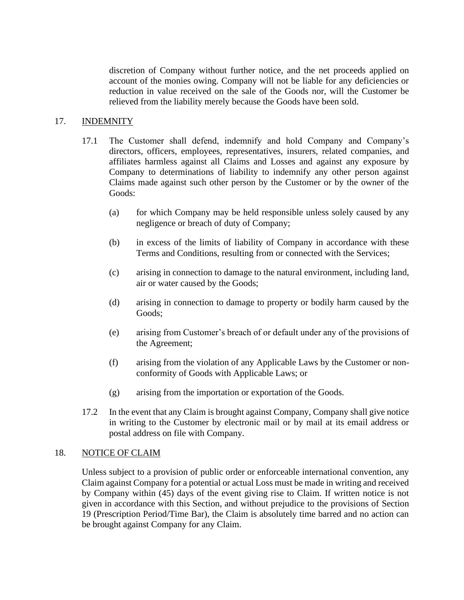discretion of Company without further notice, and the net proceeds applied on account of the monies owing. Company will not be liable for any deficiencies or reduction in value received on the sale of the Goods nor, will the Customer be relieved from the liability merely because the Goods have been sold.

### 17. INDEMNITY

- 17.1 The Customer shall defend, indemnify and hold Company and Company's directors, officers, employees, representatives, insurers, related companies, and affiliates harmless against all Claims and Losses and against any exposure by Company to determinations of liability to indemnify any other person against Claims made against such other person by the Customer or by the owner of the Goods:
	- (a) for which Company may be held responsible unless solely caused by any negligence or breach of duty of Company;
	- (b) in excess of the limits of liability of Company in accordance with these Terms and Conditions, resulting from or connected with the Services;
	- (c) arising in connection to damage to the natural environment, including land, air or water caused by the Goods;
	- (d) arising in connection to damage to property or bodily harm caused by the Goods;
	- (e) arising from Customer's breach of or default under any of the provisions of the Agreement;
	- (f) arising from the violation of any Applicable Laws by the Customer or nonconformity of Goods with Applicable Laws; or
	- (g) arising from the importation or exportation of the Goods.
- 17.2 In the event that any Claim is brought against Company, Company shall give notice in writing to the Customer by electronic mail or by mail at its email address or postal address on file with Company.

### 18. NOTICE OF CLAIM

Unless subject to a provision of public order or enforceable international convention, any Claim against Company for a potential or actual Loss must be made in writing and received by Company within (45) days of the event giving rise to Claim. If written notice is not given in accordance with this Section, and without prejudice to the provisions of Section [19](#page-14-0) (Prescription Period/Time Bar), the Claim is absolutely time barred and no action can be brought against Company for any Claim.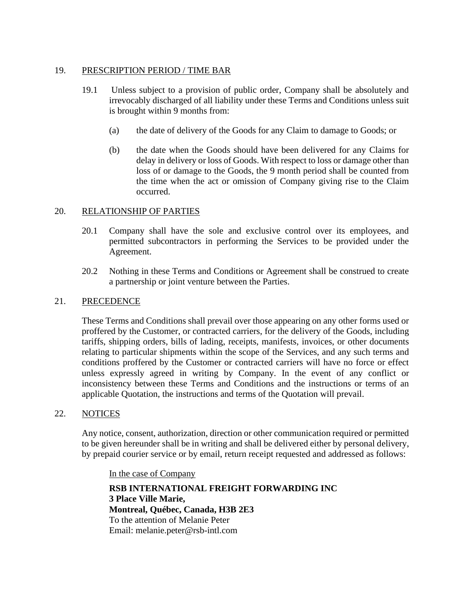### <span id="page-14-0"></span>19. PRESCRIPTION PERIOD / TIME BAR

- 19.1 Unless subject to a provision of public order, Company shall be absolutely and irrevocably discharged of all liability under these Terms and Conditions unless suit is brought within 9 months from:
	- (a) the date of delivery of the Goods for any Claim to damage to Goods; or
	- (b) the date when the Goods should have been delivered for any Claims for delay in delivery or loss of Goods. With respect to loss or damage other than loss of or damage to the Goods, the 9 month period shall be counted from the time when the act or omission of Company giving rise to the Claim occurred.

### 20. RELATIONSHIP OF PARTIES

- 20.1 Company shall have the sole and exclusive control over its employees, and permitted subcontractors in performing the Services to be provided under the Agreement.
- 20.2 Nothing in these Terms and Conditions or Agreement shall be construed to create a partnership or joint venture between the Parties.

### 21. PRECEDENCE

These Terms and Conditions shall prevail over those appearing on any other forms used or proffered by the Customer, or contracted carriers, for the delivery of the Goods, including tariffs, shipping orders, bills of lading, receipts, manifests, invoices, or other documents relating to particular shipments within the scope of the Services, and any such terms and conditions proffered by the Customer or contracted carriers will have no force or effect unless expressly agreed in writing by Company. In the event of any conflict or inconsistency between these Terms and Conditions and the instructions or terms of an applicable Quotation, the instructions and terms of the Quotation will prevail.

### 22. NOTICES

Any notice, consent, authorization, direction or other communication required or permitted to be given hereunder shall be in writing and shall be delivered either by personal delivery, by prepaid courier service or by email, return receipt requested and addressed as follows:

In the case of Company

**RSB INTERNATIONAL FREIGHT FORWARDING INC 3 Place Ville Marie, Montreal, Québec, Canada, H3B 2E3** To the attention of Melanie Peter Email: melanie.peter@rsb-intl.com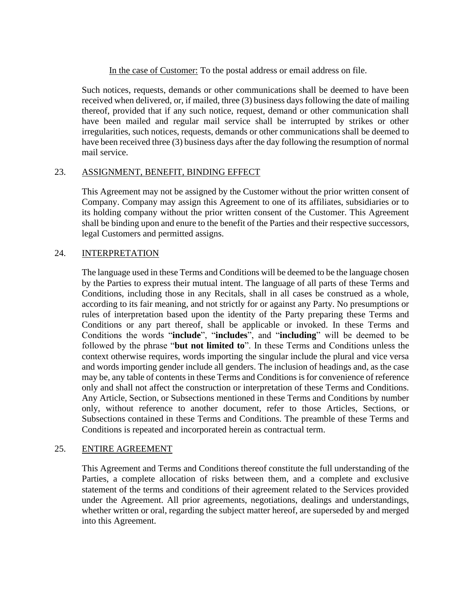In the case of Customer: To the postal address or email address on file.

Such notices, requests, demands or other communications shall be deemed to have been received when delivered, or, if mailed, three (3) business days following the date of mailing thereof, provided that if any such notice, request, demand or other communication shall have been mailed and regular mail service shall be interrupted by strikes or other irregularities, such notices, requests, demands or other communications shall be deemed to have been received three (3) business days after the day following the resumption of normal mail service.

### 23. ASSIGNMENT, BENEFIT, BINDING EFFECT

This Agreement may not be assigned by the Customer without the prior written consent of Company. Company may assign this Agreement to one of its affiliates, subsidiaries or to its holding company without the prior written consent of the Customer. This Agreement shall be binding upon and enure to the benefit of the Parties and their respective successors, legal Customers and permitted assigns.

### 24. INTERPRETATION

The language used in these Terms and Conditions will be deemed to be the language chosen by the Parties to express their mutual intent. The language of all parts of these Terms and Conditions, including those in any Recitals, shall in all cases be construed as a whole, according to its fair meaning, and not strictly for or against any Party. No presumptions or rules of interpretation based upon the identity of the Party preparing these Terms and Conditions or any part thereof, shall be applicable or invoked. In these Terms and Conditions the words "**include**", "**includes**", and "**including**" will be deemed to be followed by the phrase "**but not limited to**". In these Terms and Conditions unless the context otherwise requires, words importing the singular include the plural and vice versa and words importing gender include all genders. The inclusion of headings and, as the case may be, any table of contents in these Terms and Conditions is for convenience of reference only and shall not affect the construction or interpretation of these Terms and Conditions. Any Article, Section, or Subsections mentioned in these Terms and Conditions by number only, without reference to another document, refer to those Articles, Sections, or Subsections contained in these Terms and Conditions. The preamble of these Terms and Conditions is repeated and incorporated herein as contractual term.

### 25. ENTIRE AGREEMENT

This Agreement and Terms and Conditions thereof constitute the full understanding of the Parties, a complete allocation of risks between them, and a complete and exclusive statement of the terms and conditions of their agreement related to the Services provided under the Agreement. All prior agreements, negotiations, dealings and understandings, whether written or oral, regarding the subject matter hereof, are superseded by and merged into this Agreement.